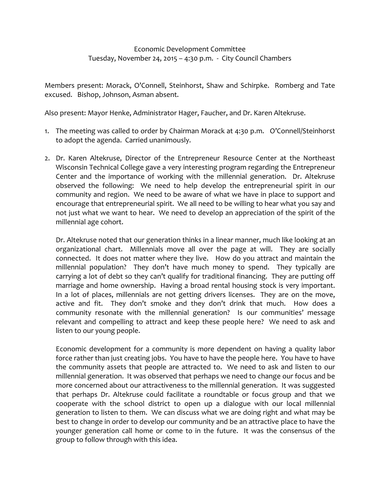## Economic Development Committee Tuesday, November 24, 2015 – 4:30 p.m. - City Council Chambers

Members present: Morack, O'Connell, Steinhorst, Shaw and Schirpke. Romberg and Tate excused. Bishop, Johnson, Asman absent.

Also present: Mayor Henke, Administrator Hager, Faucher, and Dr. Karen Altekruse.

- 1. The meeting was called to order by Chairman Morack at 4:30 p.m. O'Connell/Steinhorst to adopt the agenda. Carried unanimously.
- 2. Dr. Karen Altekruse, Director of the Entrepreneur Resource Center at the Northeast Wisconsin Technical College gave a very interesting program regarding the Entrepreneur Center and the importance of working with the millennial generation. Dr. Altekruse observed the following: We need to help develop the entrepreneurial spirit in our community and region. We need to be aware of what we have in place to support and encourage that entrepreneurial spirit. We all need to be willing to hear what you say and not just what we want to hear. We need to develop an appreciation of the spirit of the millennial age cohort.

Dr. Altekruse noted that our generation thinks in a linear manner, much like looking at an organizational chart. Millennials move all over the page at will. They are socially connected. It does not matter where they live. How do you attract and maintain the millennial population? They don't have much money to spend. They typically are carrying a lot of debt so they can't qualify for traditional financing. They are putting off marriage and home ownership. Having a broad rental housing stock is very important. In a lot of places, millennials are not getting drivers licenses. They are on the move, active and fit. They don't smoke and they don't drink that much. How does a community resonate with the millennial generation? Is our communities' message relevant and compelling to attract and keep these people here? We need to ask and listen to our young people.

Economic development for a community is more dependent on having a quality labor force rather than just creating jobs. You have to have the people here. You have to have the community assets that people are attracted to. We need to ask and listen to our millennial generation. It was observed that perhaps we need to change our focus and be more concerned about our attractiveness to the millennial generation. It was suggested that perhaps Dr. Altekruse could facilitate a roundtable or focus group and that we cooperate with the school district to open up a dialogue with our local millennial generation to listen to them. We can discuss what we are doing right and what may be best to change in order to develop our community and be an attractive place to have the younger generation call home or come to in the future. It was the consensus of the group to follow through with this idea.